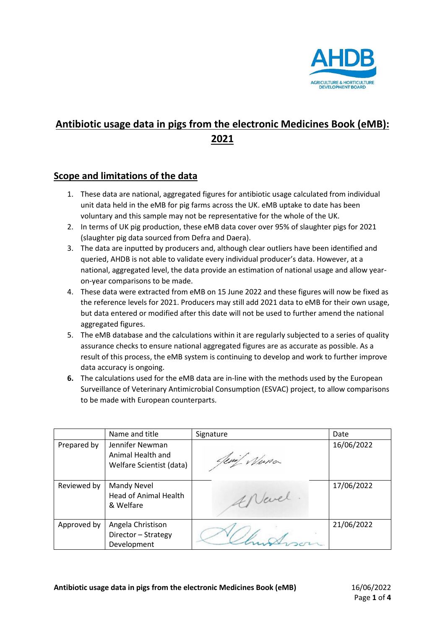

# **Antibiotic usage data in pigs from the electronic Medicines Book (eMB): 2021**

#### **Scope and limitations of the data**

- 1. These data are national, aggregated figures for antibiotic usage calculated from individual unit data held in the eMB for pig farms across the UK. eMB uptake to date has been voluntary and this sample may not be representative for the whole of the UK.
- 2. In terms of UK pig production, these eMB data cover over 95% of slaughter pigs for 2021 (slaughter pig data sourced from Defra and Daera).
- 3. The data are inputted by producers and, although clear outliers have been identified and queried, AHDB is not able to validate every individual producer's data. However, at a national, aggregated level, the data provide an estimation of national usage and allow yearon-year comparisons to be made.
- 4. These data were extracted from eMB on 15 June 2022 and these figures will now be fixed as the reference levels for 2021. Producers may still add 2021 data to eMB for their own usage, but data entered or modified after this date will not be used to further amend the national aggregated figures.
- 5. The eMB database and the calculations within it are regularly subjected to a series of quality assurance checks to ensure national aggregated figures are as accurate as possible. As a result of this process, the eMB system is continuing to develop and work to further improve data accuracy is ongoing.
- **6.** The calculations used for the eMB data are in-line with the methods used by the European Surveillance of Veterinary Antimicrobial Consumption (ESVAC) project, to allow comparisons to be made with European counterparts.

|             | Name and title                            | Signature   | Date       |
|-------------|-------------------------------------------|-------------|------------|
| Prepared by | Jennifer Newman<br>Animal Health and      | Nuna<br>Um/ | 16/06/2022 |
|             | Welfare Scientist (data)                  |             |            |
| Reviewed by | Mandy Nevel                               |             | 17/06/2022 |
|             | <b>Head of Animal Health</b><br>& Welfare | Nevel       |            |
| Approved by | Angela Christison                         |             | 21/06/2022 |
|             | Director - Strategy                       |             |            |
|             | Development                               |             |            |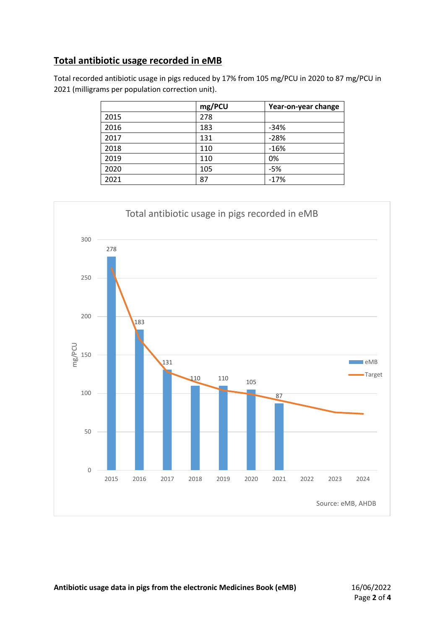#### **Total antibiotic usage recorded in eMB**

Total recorded antibiotic usage in pigs reduced by 17% from 105 mg/PCU in 2020 to 87 mg/PCU in (milligrams per population correction unit).

|      | mg/PCU | Year-on-year change |
|------|--------|---------------------|
| 2015 | 278    |                     |
| 2016 | 183    | $-34%$              |
| 2017 | 131    | $-28%$              |
| 2018 | 110    | $-16%$              |
| 2019 | 110    | 0%                  |
| 2020 | 105    | $-5%$               |
| 2021 | 87     | $-17%$              |

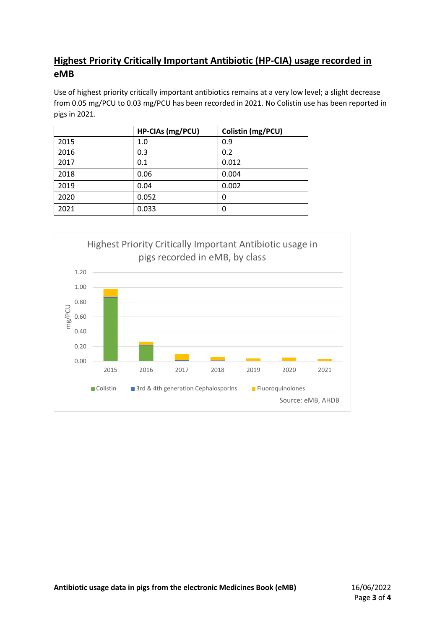## **Highest Priority Critically Important Antibiotic (HP-CIA) usage recorded in eMB**

Use of highest priority critically important antibiotics remains at a very low level; a slight decrease from 0.05 mg/PCU to 0.03 mg/PCU has been recorded in 2021. No Colistin use has been reported in pigs in 2021.

|      | HP-CIAs (mg/PCU) | Colistin (mg/PCU) |
|------|------------------|-------------------|
| 2015 | 1.0              | 0.9               |
| 2016 | 0.3              | 0.2               |
| 2017 | 0.1              | 0.012             |
| 2018 | 0.06             | 0.004             |
| 2019 | 0.04             | 0.002             |
| 2020 | 0.052            | 0                 |
| 2021 | 0.033            | 0                 |